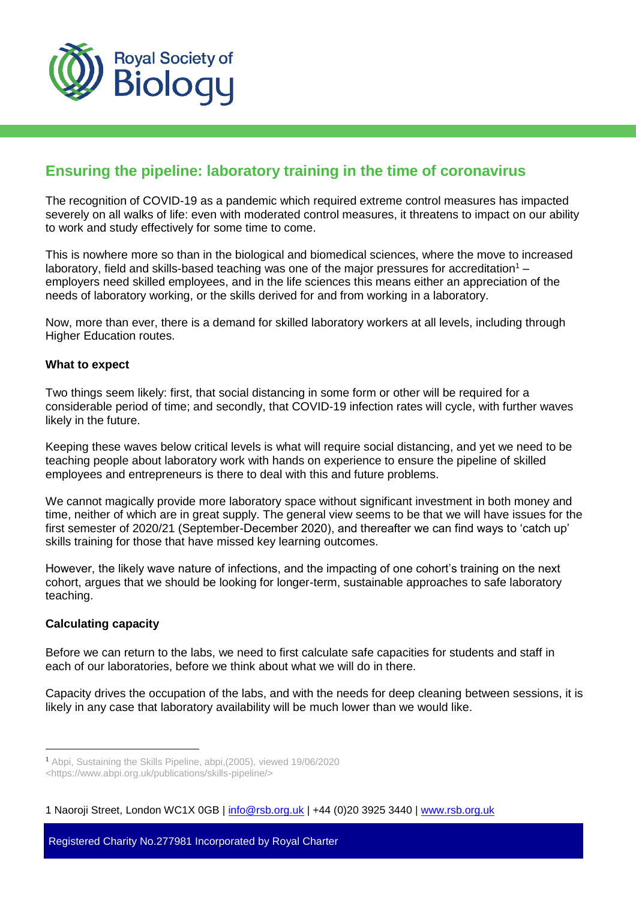

# **Ensuring the pipeline: laboratory training in the time of coronavirus**

The recognition of COVID-19 as a pandemic which required extreme control measures has impacted severely on all walks of life: even with moderated control measures, it threatens to impact on our ability to work and study effectively for some time to come.

This is nowhere more so than in the biological and biomedical sciences, where the move to increased laboratory, field and skills-based teaching was one of the major pressures for accreditation<sup>1</sup> – employers need skilled employees, and in the life sciences this means either an appreciation of the needs of laboratory working, or the skills derived for and from working in a laboratory.

Now, more than ever, there is a demand for skilled laboratory workers at all levels, including through Higher Education routes.

#### **What to expect**

Two things seem likely: first, that social distancing in some form or other will be required for a considerable period of time; and secondly, that COVID-19 infection rates will cycle, with further waves likely in the future.

Keeping these waves below critical levels is what will require social distancing, and yet we need to be teaching people about laboratory work with hands on experience to ensure the pipeline of skilled employees and entrepreneurs is there to deal with this and future problems.

We cannot magically provide more laboratory space without significant investment in both money and time, neither of which are in great supply. The general view seems to be that we will have issues for the first semester of 2020/21 (September-December 2020), and thereafter we can find ways to 'catch up' skills training for those that have missed key learning outcomes.

However, the likely wave nature of infections, and the impacting of one cohort's training on the next cohort, argues that we should be looking for longer-term, sustainable approaches to safe laboratory teaching.

### **Calculating capacity**

 $\overline{a}$ 

Before we can return to the labs, we need to first calculate safe capacities for students and staff in each of our laboratories, before we think about what we will do in there.

Capacity drives the occupation of the labs, and with the needs for deep cleaning between sessions, it is likely in any case that laboratory availability will be much lower than we would like.

1 Naoroji Street, London WC1X 0GB | info@rsb.org.uk | +44 (0)20 3925 3440 | [www.rsb.org.uk](http://www.rsb.org.uk/)

Registered Charity No.277981 Incorporated by Royal Charter

<sup>1</sup> Abpi, Sustaining the Skills Pipeline, abpi,(2005), viewed 19/06/2020

[<sup>&</sup>lt;https://www.abpi.org.uk/publications/skills-pipeline/>](https://www.abpi.org.uk/publications/skills-pipeline/)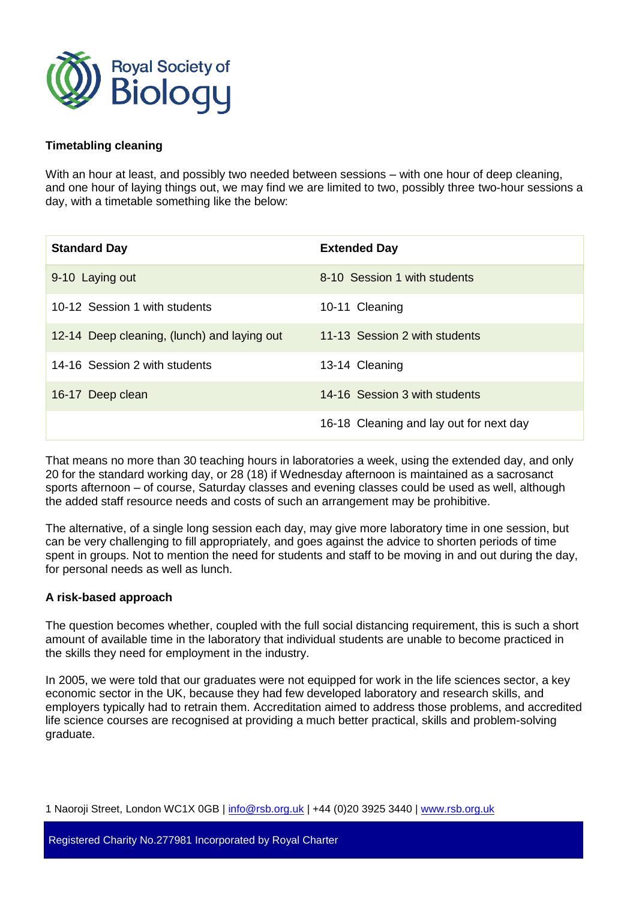

## **Timetabling cleaning**

With an hour at least, and possibly two needed between sessions – with one hour of deep cleaning, and one hour of laying things out, we may find we are limited to two, possibly three two-hour sessions a day, with a timetable something like the below:

| <b>Standard Day</b>                         | <b>Extended Day</b>                     |
|---------------------------------------------|-----------------------------------------|
| 9-10 Laying out                             | 8-10 Session 1 with students            |
| 10-12 Session 1 with students               | 10-11 Cleaning                          |
| 12-14 Deep cleaning, (lunch) and laying out | 11-13 Session 2 with students           |
| 14-16 Session 2 with students               | 13-14 Cleaning                          |
| 16-17 Deep clean                            | 14-16 Session 3 with students           |
|                                             | 16-18 Cleaning and lay out for next day |

That means no more than 30 teaching hours in laboratories a week, using the extended day, and only 20 for the standard working day, or 28 (18) if Wednesday afternoon is maintained as a sacrosanct sports afternoon – of course, Saturday classes and evening classes could be used as well, although the added staff resource needs and costs of such an arrangement may be prohibitive.

The alternative, of a single long session each day, may give more laboratory time in one session, but can be very challenging to fill appropriately, and goes against the advice to shorten periods of time spent in groups. Not to mention the need for students and staff to be moving in and out during the day, for personal needs as well as lunch.

### **A risk-based approach**

The question becomes whether, coupled with the full social distancing requirement, this is such a short amount of available time in the laboratory that individual students are unable to become practiced in the skills they need for employment in the industry.

In 2005, we were told that our graduates were not equipped for work in the life sciences sector, a key economic sector in the UK, because they had few developed laboratory and research skills, and employers typically had to retrain them. Accreditation aimed to address those problems, and accredited life science courses are recognised at providing a much better practical, skills and problem-solving graduate.

1 Naoroji Street, London WC1X 0GB | info@rsb.org.uk | +44 (0)20 3925 3440 | [www.rsb.org.uk](http://www.rsb.org.uk/)

Registered Charity No.277981 Incorporated by Royal Charter